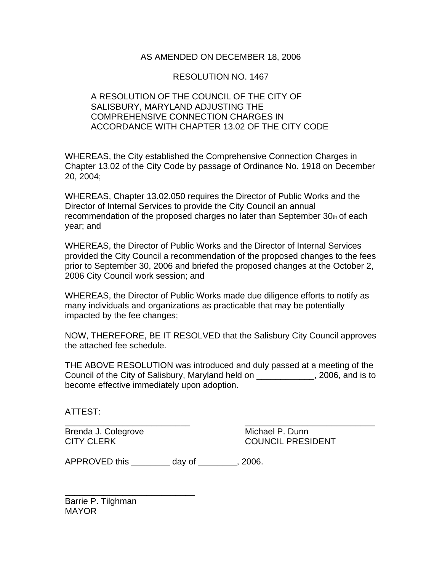## AS AMENDED ON DECEMBER 18, 2006

## RESOLUTION NO. 1467

## A RESOLUTION OF THE COUNCIL OF THE CITY OF SALISBURY, MARYLAND ADJUSTING THE COMPREHENSIVE CONNECTION CHARGES IN ACCORDANCE WITH CHAPTER 13.02 OF THE CITY CODE

WHEREAS, the City established the Comprehensive Connection Charges in Chapter 13.02 of the City Code by passage of Ordinance No. 1918 on December 20, 2004;

WHEREAS, Chapter 13.02.050 requires the Director of Public Works and the Director of Internal Services to provide the City Council an annual recommendation of the proposed charges no later than September 30th of each year; and

WHEREAS, the Director of Public Works and the Director of Internal Services provided the City Council a recommendation of the proposed changes to the fees prior to September 30, 2006 and briefed the proposed changes at the October 2, 2006 City Council work session; and

WHEREAS, the Director of Public Works made due diligence efforts to notify as many individuals and organizations as practicable that may be potentially impacted by the fee changes;

NOW, THEREFORE, BE IT RESOLVED that the Salisbury City Council approves the attached fee schedule.

THE ABOVE RESOLUTION was introduced and duly passed at a meeting of the Council of the City of Salisbury, Maryland held on \_\_\_\_\_\_\_\_\_\_\_\_, 2006, and is to become effective immediately upon adoption.

ATTEST:

Brenda J. Colegrove **Michael P. Dunn** 

\_\_\_\_\_\_\_\_\_\_\_\_\_\_\_\_\_\_\_\_\_\_\_\_\_\_ \_\_\_\_\_\_\_\_\_\_\_\_\_\_\_\_\_\_\_\_\_\_\_\_\_\_\_ CITY CLERK COUNCIL PRESIDENT

APPROVED this day of 3006.

Barrie P. Tilghman MAYOR

\_\_\_\_\_\_\_\_\_\_\_\_\_\_\_\_\_\_\_\_\_\_\_\_\_\_\_